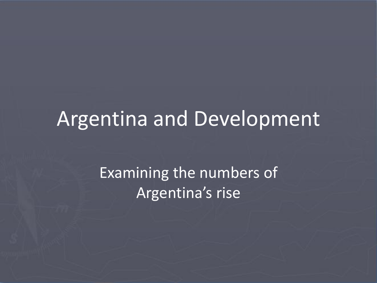#### Argentina and Development

Examining the numbers of Argentina's rise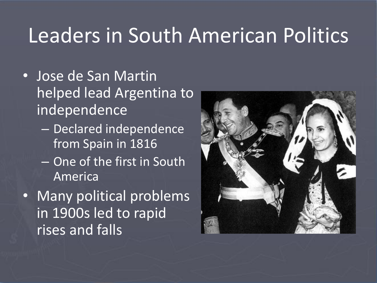#### Leaders in South American Politics

- Jose de San Martin helped lead Argentina to independence
	- Declared independence from Spain in 1816
	- One of the first in South America
- Many political problems in 1900s led to rapid rises and falls

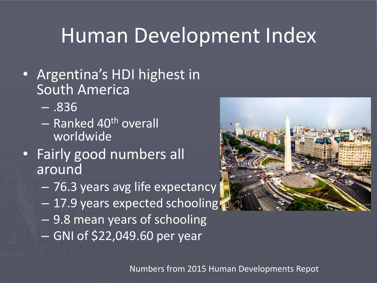## Human Development Index

- Argentina's HDI highest in South America
	- .836
	- Ranked 40th overall worldwide
- Fairly good numbers all around
	- 76.3 years avg life expectancy
	- 17.9 years expected schooling
	- 9.8 mean years of schooling
	- GNI of \$22,049.60 per year



Numbers from 2015 Human Developments Repot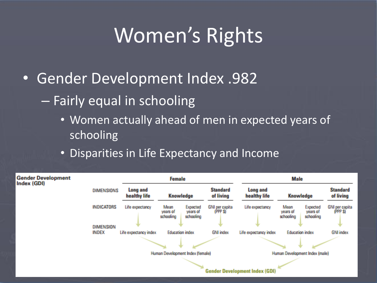# Women's Rights

- Gender Development Index .982
	- Fairly equal in schooling
		- Women actually ahead of men in expected years of schooling
		- Disparities in Life Expectancy and Income

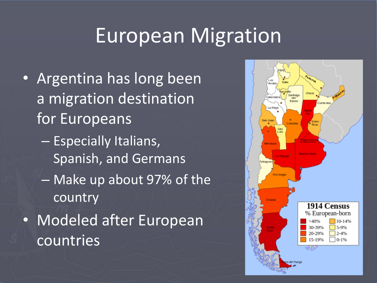## European Migration

- Argentina has long been a migration destination for Europeans
	- Especially Italians, Spanish, and Germans
	- Make up about 97% of the country
- Modeled after European countries

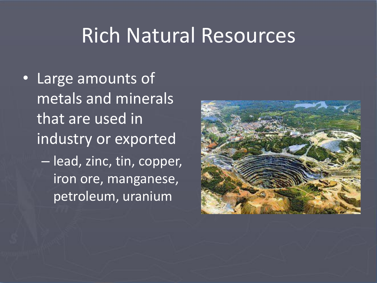#### Rich Natural Resources

• Large amounts of metals and minerals that are used in industry or exported – lead, zinc, tin, copper, iron ore, manganese, petroleum, uranium

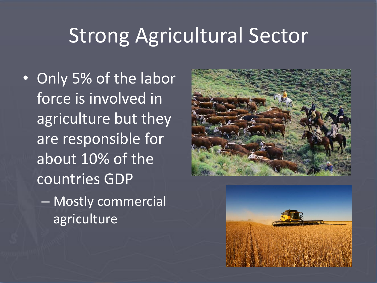# Strong Agricultural Sector

• Only 5% of the labor force is involved in agriculture but they are responsible for about 10% of the countries GDP – Mostly commercial agriculture



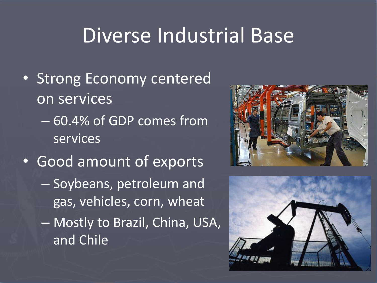## Diverse Industrial Base

- Strong Economy centered on services
	- 60.4% of GDP comes from services
- Good amount of exports – Soybeans, petroleum and gas, vehicles, corn, wheat – Mostly to Brazil, China, USA, and Chile